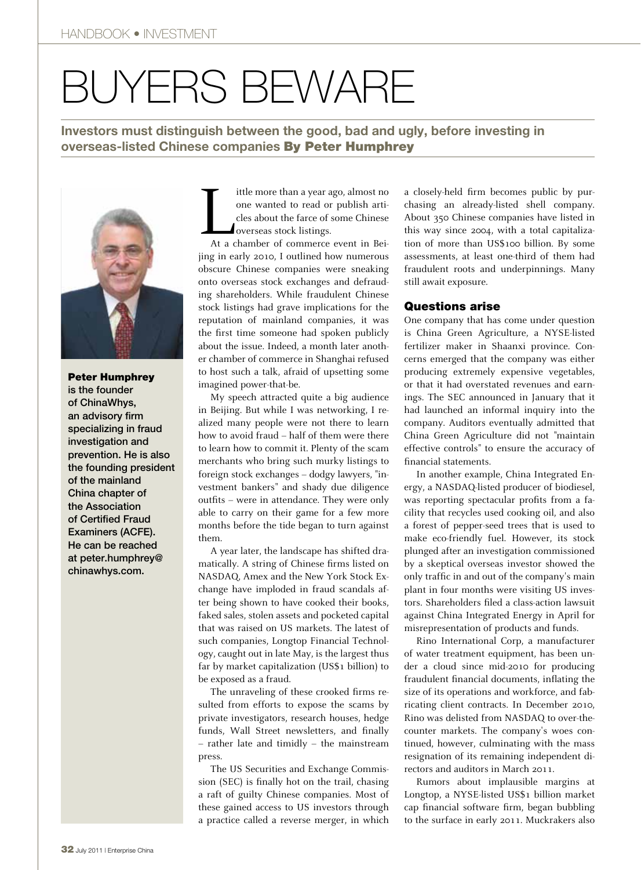## Buyers beware

**Investors must distinguish between the good, bad and ugly, before investing in overseas-listed Chinese companies** By Peter Humphrey



Peter Humphrey is the founder of ChinaWhys, an advisory firm specializing in fraud investigation and prevention. He is also the founding president of the mainland China chapter of the Association of Certified Fraud Examiners (ACFE). He can be reached at peter.humphrey@ chinawhys.com.

 $\frac{1}{\sqrt{\frac{1}{1+\alpha}}}$ ittle more than a year ago, almost no one wanted to read or publish articles about the farce of some Chinese overseas stock listings.

At a chamber of commerce event in Beijing in early 2010, I outlined how numerous obscure Chinese companies were sneaking onto overseas stock exchanges and defrauding shareholders. While fraudulent Chinese stock listings had grave implications for the reputation of mainland companies, it was the first time someone had spoken publicly about the issue. Indeed, a month later another chamber of commerce in Shanghai refused to host such a talk, afraid of upsetting some imagined power-that-be.

My speech attracted quite a big audience in Beijing. But while I was networking, I realized many people were not there to learn how to avoid fraud – half of them were there to learn how to commit it. Plenty of the scam merchants who bring such murky listings to foreign stock exchanges – dodgy lawyers, "investment bankers" and shady due diligence outfits – were in attendance. They were only able to carry on their game for a few more months before the tide began to turn against them.

A year later, the landscape has shifted dramatically. A string of Chinese firms listed on NASDAQ, Amex and the New York Stock Exchange have imploded in fraud scandals after being shown to have cooked their books, faked sales, stolen assets and pocketed capital that was raised on US markets. The latest of such companies, Longtop Financial Technology, caught out in late May, is the largest thus far by market capitalization (US\$1 billion) to be exposed as a fraud.

The unraveling of these crooked firms resulted from efforts to expose the scams by private investigators, research houses, hedge funds, Wall Street newsletters, and finally – rather late and timidly – the mainstream press.

The US Securities and Exchange Commission (SEC) is finally hot on the trail, chasing a raft of guilty Chinese companies. Most of these gained access to US investors through a practice called a reverse merger, in which

a closely-held firm becomes public by purchasing an already-listed shell company. About 350 Chinese companies have listed in this way since 2004, with a total capitalization of more than US\$100 billion. By some assessments, at least one-third of them had fraudulent roots and underpinnings. Many still await exposure.

## Questions arise

One company that has come under question is China Green Agriculture, a NYSE-listed fertilizer maker in Shaanxi province. Concerns emerged that the company was either producing extremely expensive vegetables, or that it had overstated revenues and earnings. The SEC announced in January that it had launched an informal inquiry into the company. Auditors eventually admitted that China Green Agriculture did not "maintain effective controls" to ensure the accuracy of financial statements.

In another example, China Integrated Energy, a NASDAQ-listed producer of biodiesel, was reporting spectacular profits from a facility that recycles used cooking oil, and also a forest of pepper-seed trees that is used to make eco-friendly fuel. However, its stock plunged after an investigation commissioned by a skeptical overseas investor showed the only traffic in and out of the company's main plant in four months were visiting US investors. Shareholders filed a class-action lawsuit against China Integrated Energy in April for misrepresentation of products and funds.

Rino International Corp, a manufacturer of water treatment equipment, has been under a cloud since mid-2010 for producing fraudulent financial documents, inflating the size of its operations and workforce, and fabricating client contracts. In December 2010, Rino was delisted from NASDAQ to over-thecounter markets. The company's woes continued, however, culminating with the mass resignation of its remaining independent directors and auditors in March 2011.

Rumors about implausible margins at Longtop, a NYSE-listed US\$1 billion market cap financial software firm, began bubbling to the surface in early 2011. Muckrakers also